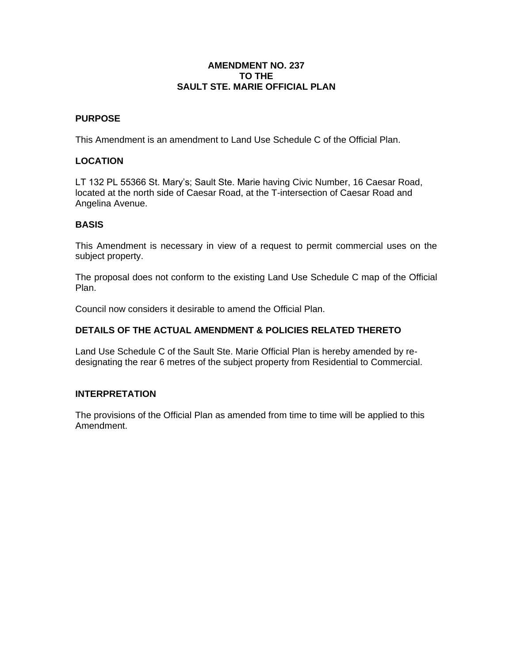### **AMENDMENT NO. 237 TO THE SAULT STE. MARIE OFFICIAL PLAN**

# **PURPOSE**

This Amendment is an amendment to Land Use Schedule C of the Official Plan.

# **LOCATION**

LT 132 PL 55366 St. Mary's; Sault Ste. Marie having Civic Number, 16 Caesar Road, located at the north side of Caesar Road, at the T-intersection of Caesar Road and Angelina Avenue.

### **BASIS**

This Amendment is necessary in view of a request to permit commercial uses on the subject property.

The proposal does not conform to the existing Land Use Schedule C map of the Official Plan.

Council now considers it desirable to amend the Official Plan.

### **DETAILS OF THE ACTUAL AMENDMENT & POLICIES RELATED THERETO**

Land Use Schedule C of the Sault Ste. Marie Official Plan is hereby amended by redesignating the rear 6 metres of the subject property from Residential to Commercial.

#### **INTERPRETATION**

The provisions of the Official Plan as amended from time to time will be applied to this Amendment.